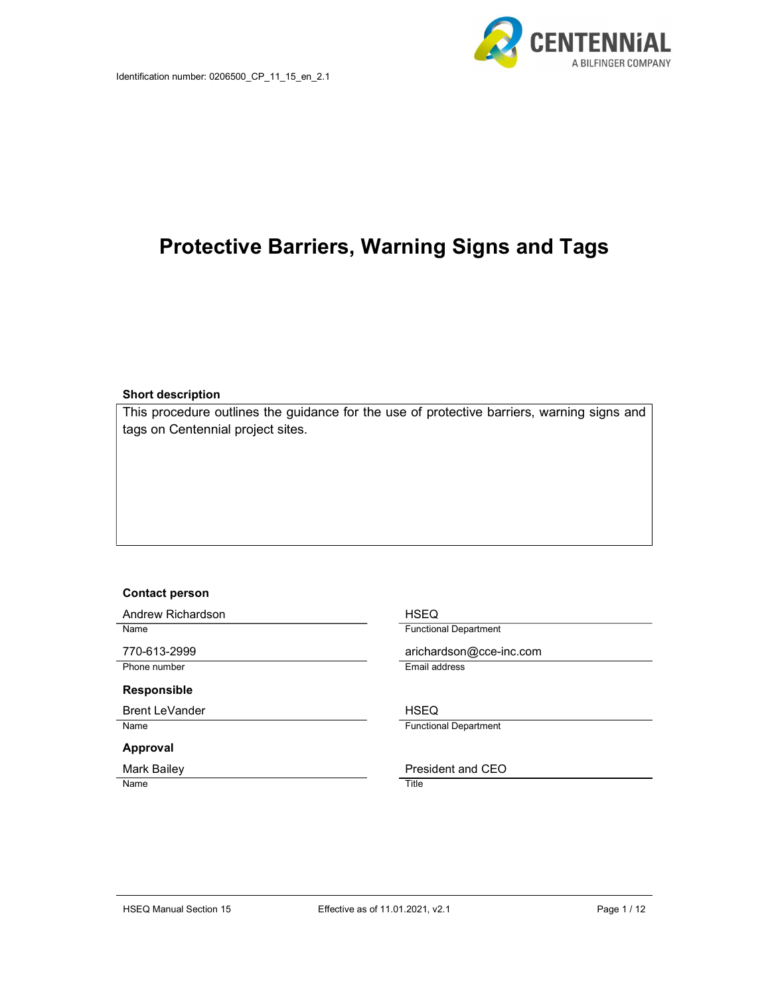

# Protective Barriers, Warning Signs and Tags

Short description

This procedure outlines the guidance for the use of protective barriers, warning signs and tags on Centennial project sites.

#### Contact person

| Andrew Richardson     | <b>HSEQ</b>                  |
|-----------------------|------------------------------|
| Name                  | <b>Functional Department</b> |
| 770-613-2999          | arichardson@cce-inc.com      |
| Phone number          | Email address                |
| <b>Responsible</b>    |                              |
| <b>Brent LeVander</b> | <b>HSEQ</b>                  |
| Name                  | <b>Functional Department</b> |
| Approval              |                              |
| <b>Mark Bailey</b>    | President and CEO            |
| Name                  | Title                        |
|                       |                              |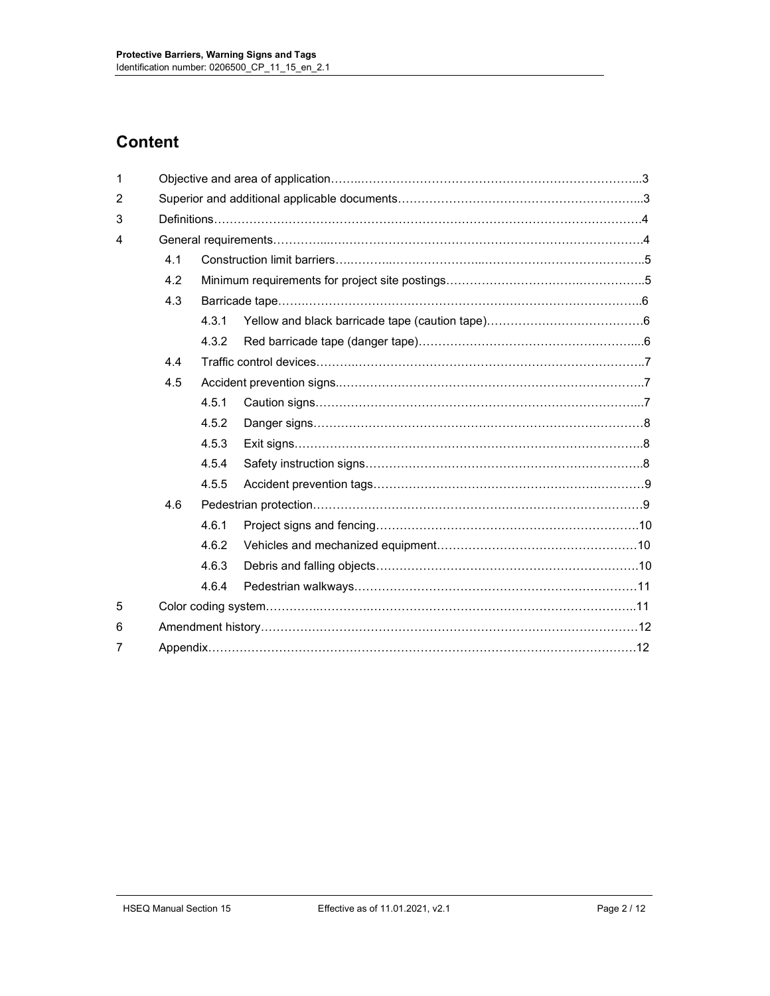# **Content**

| 1 |     |       |  |  |
|---|-----|-------|--|--|
| 2 |     |       |  |  |
| 3 |     |       |  |  |
| 4 |     |       |  |  |
|   | 4.1 |       |  |  |
|   | 4.2 |       |  |  |
|   | 4.3 |       |  |  |
|   |     | 4.3.1 |  |  |
|   |     | 4.3.2 |  |  |
|   | 4.4 |       |  |  |
|   | 4.5 |       |  |  |
|   |     | 4.5.1 |  |  |
|   |     | 4.5.2 |  |  |
|   |     | 4.5.3 |  |  |
|   |     | 4.5.4 |  |  |
|   |     | 4.5.5 |  |  |
|   | 4.6 |       |  |  |
|   |     | 4.6.1 |  |  |
|   |     | 4.6.2 |  |  |
|   |     | 4.6.3 |  |  |
|   |     | 4.6.4 |  |  |
| 5 |     |       |  |  |
| 6 |     |       |  |  |
| 7 |     |       |  |  |
|   |     |       |  |  |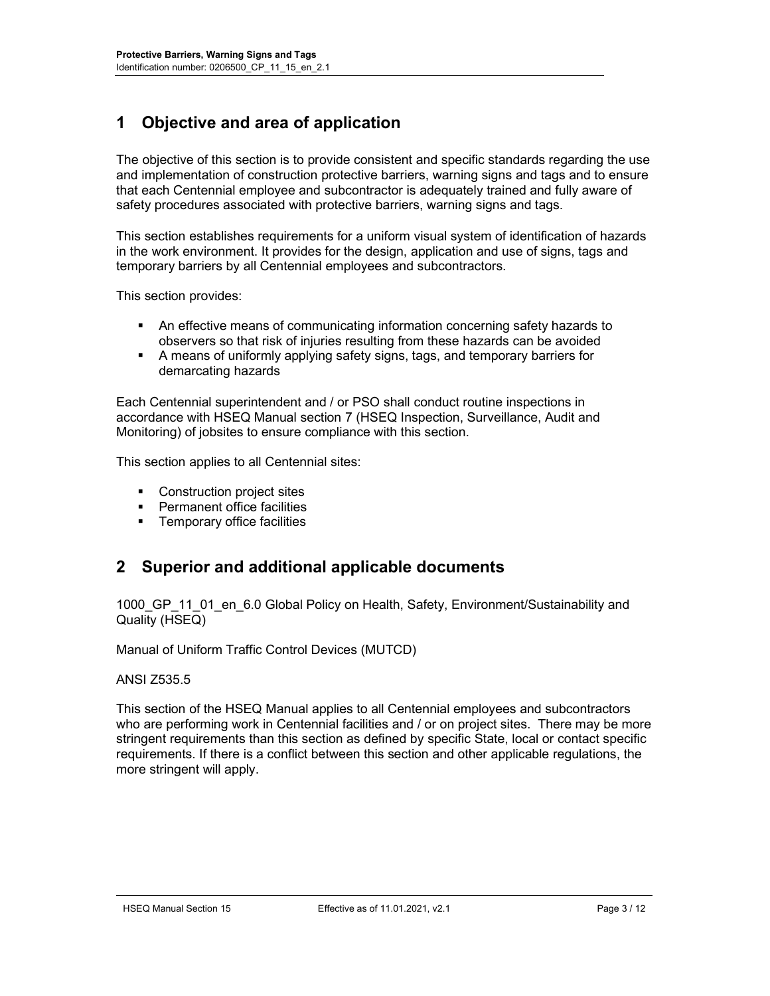# 1 Objective and area of application

The objective of this section is to provide consistent and specific standards regarding the use and implementation of construction protective barriers, warning signs and tags and to ensure that each Centennial employee and subcontractor is adequately trained and fully aware of safety procedures associated with protective barriers, warning signs and tags.

This section establishes requirements for a uniform visual system of identification of hazards in the work environment. It provides for the design, application and use of signs, tags and temporary barriers by all Centennial employees and subcontractors.

This section provides:

- An effective means of communicating information concerning safety hazards to observers so that risk of injuries resulting from these hazards can be avoided
- A means of uniformly applying safety signs, tags, and temporary barriers for demarcating hazards

Each Centennial superintendent and / or PSO shall conduct routine inspections in accordance with HSEQ Manual section 7 (HSEQ Inspection, Surveillance, Audit and Monitoring) of jobsites to ensure compliance with this section.

This section applies to all Centennial sites:

- **Construction project sites**
- **•** Permanent office facilities
- **Temporary office facilities**

## 2 Superior and additional applicable documents

1000 GP 11 01 en 6.0 Global Policy on Health, Safety, Environment/Sustainability and Quality (HSEQ)

Manual of Uniform Traffic Control Devices (MUTCD)

#### ANSI Z535.5

This section of the HSEQ Manual applies to all Centennial employees and subcontractors who are performing work in Centennial facilities and / or on project sites. There may be more stringent requirements than this section as defined by specific State, local or contact specific requirements. If there is a conflict between this section and other applicable regulations, the more stringent will apply.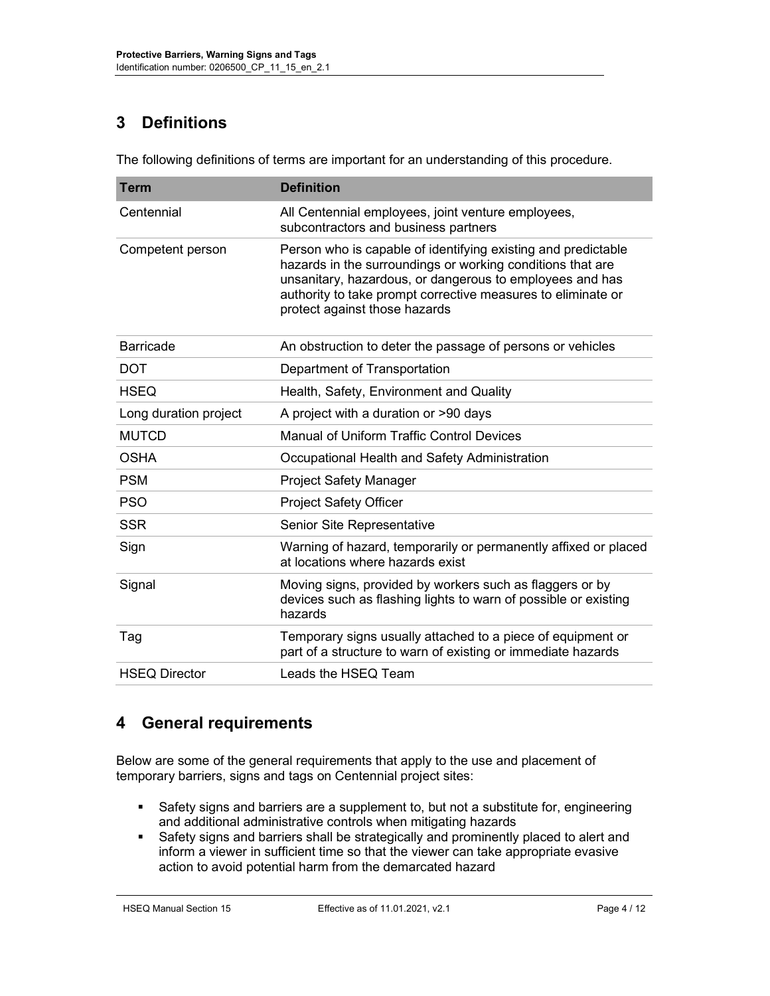# 3 Definitions

The following definitions of terms are important for an understanding of this procedure.

| <b>Term</b>           | <b>Definition</b>                                                                                                                                                                                                                                                                        |
|-----------------------|------------------------------------------------------------------------------------------------------------------------------------------------------------------------------------------------------------------------------------------------------------------------------------------|
| Centennial            | All Centennial employees, joint venture employees,<br>subcontractors and business partners                                                                                                                                                                                               |
| Competent person      | Person who is capable of identifying existing and predictable<br>hazards in the surroundings or working conditions that are<br>unsanitary, hazardous, or dangerous to employees and has<br>authority to take prompt corrective measures to eliminate or<br>protect against those hazards |
| <b>Barricade</b>      | An obstruction to deter the passage of persons or vehicles                                                                                                                                                                                                                               |
| <b>DOT</b>            | Department of Transportation                                                                                                                                                                                                                                                             |
| <b>HSEQ</b>           | Health, Safety, Environment and Quality                                                                                                                                                                                                                                                  |
| Long duration project | A project with a duration or >90 days                                                                                                                                                                                                                                                    |
| <b>MUTCD</b>          | <b>Manual of Uniform Traffic Control Devices</b>                                                                                                                                                                                                                                         |
| <b>OSHA</b>           | Occupational Health and Safety Administration                                                                                                                                                                                                                                            |
| <b>PSM</b>            | <b>Project Safety Manager</b>                                                                                                                                                                                                                                                            |
| <b>PSO</b>            | <b>Project Safety Officer</b>                                                                                                                                                                                                                                                            |
| <b>SSR</b>            | Senior Site Representative                                                                                                                                                                                                                                                               |
| Sign                  | Warning of hazard, temporarily or permanently affixed or placed<br>at locations where hazards exist                                                                                                                                                                                      |
| Signal                | Moving signs, provided by workers such as flaggers or by<br>devices such as flashing lights to warn of possible or existing<br>hazards                                                                                                                                                   |
| Tag                   | Temporary signs usually attached to a piece of equipment or<br>part of a structure to warn of existing or immediate hazards                                                                                                                                                              |
| <b>HSEQ Director</b>  | Leads the HSEQ Team                                                                                                                                                                                                                                                                      |

## 4 General requirements

Below are some of the general requirements that apply to the use and placement of temporary barriers, signs and tags on Centennial project sites:

- Safety signs and barriers are a supplement to, but not a substitute for, engineering and additional administrative controls when mitigating hazards
- Safety signs and barriers shall be strategically and prominently placed to alert and inform a viewer in sufficient time so that the viewer can take appropriate evasive action to avoid potential harm from the demarcated hazard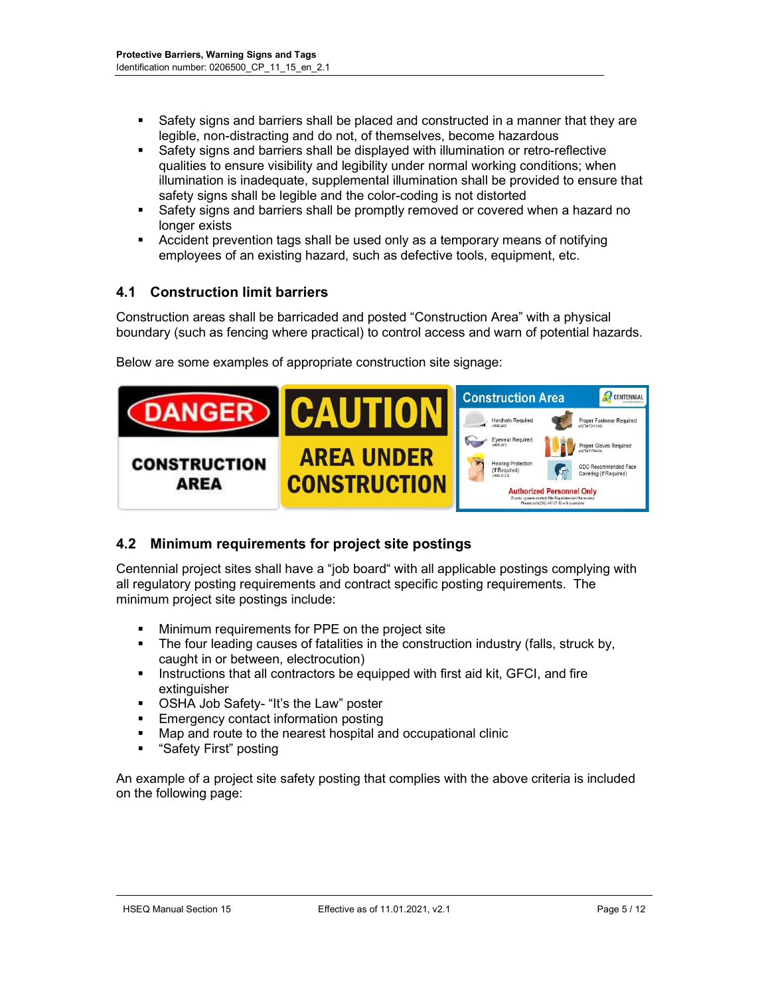- Safety signs and barriers shall be placed and constructed in a manner that they are legible, non-distracting and do not, of themselves, become hazardous
- Safety signs and barriers shall be displayed with illumination or retro-reflective qualities to ensure visibility and legibility under normal working conditions; when illumination is inadequate, supplemental illumination shall be provided to ensure that safety signs shall be legible and the color-coding is not distorted
- Safety signs and barriers shall be promptly removed or covered when a hazard no longer exists
- Accident prevention tags shall be used only as a temporary means of notifying employees of an existing hazard, such as defective tools, equipment, etc.

### 4.1 Construction limit barriers

Construction areas shall be barricaded and posted "Construction Area" with a physical boundary (such as fencing where practical) to control access and warn of potential hazards.

|                             |                     | <b>Construction Area</b>                                                                                                                | CENTENNIAL                                       |
|-----------------------------|---------------------|-----------------------------------------------------------------------------------------------------------------------------------------|--------------------------------------------------|
|                             | CAL                 | <b>Hardhats Required</b>                                                                                                                | Proper Footwear Required<br>(ASTM F2413-05)      |
|                             |                     | Eyewear Required<br>ANSI Z87                                                                                                            | <b>Proper Gloves Required</b><br>(ASTM F1790-04) |
| <b>CONSTRUCTION</b><br>ΔRFΔ | <b>AREA UNDER</b>   | <b>Hearing Protection</b><br>Q.<br>(If Required)<br>ANSI 512.EV                                                                         | CDC Recommended Face<br>Covering (If Required)   |
|                             | <b>CONSTRUCTION</b> | <b>Authorized Personnel Only</b><br>Guests - please contact Site Superintendent for access<br>Please call (206) 547-0135 with quastions |                                                  |

Below are some examples of appropriate construction site signage:

## 4.2 Minimum requirements for project site postings

Centennial project sites shall have a "job board" with all applicable postings complying with all regulatory posting requirements and contract specific posting requirements. The minimum project site postings include:

- **Minimum requirements for PPE on the project site**
- The four leading causes of fatalities in the construction industry (falls, struck by, caught in or between, electrocution)
- **Instructions that all contractors be equipped with first aid kit, GFCI, and fire** extinguisher
- OSHA Job Safety- "It's the Law" poster
- **Emergency contact information posting**
- Map and route to the nearest hospital and occupational clinic
- "Safety First" posting

An example of a project site safety posting that complies with the above criteria is included on the following page: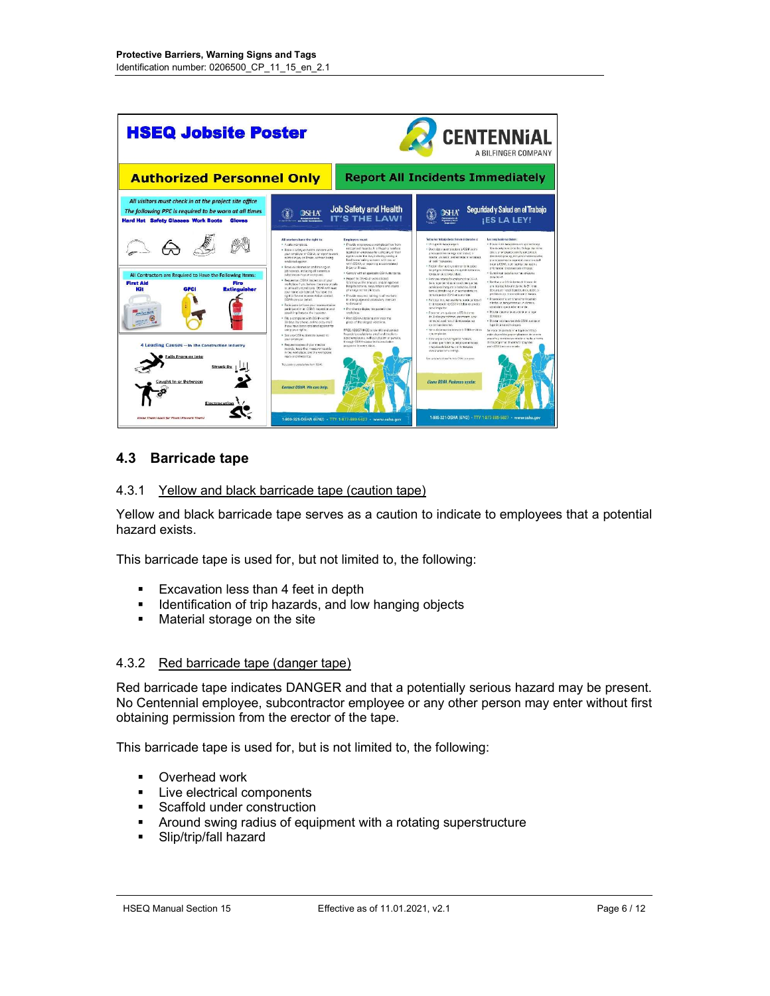| <b>HSEQ Jobsite Poster</b>                                                                                                                                                   | <b>CENTENNIAL</b><br>A BILFINGER COMPANY                                                                                                                                                                                                                                                                                                                                                                       |                                                                                                                                                                                                                                                                                                                                                              |                                                                                                                                                                                                                                                                                                                                                                                                                                               |                                                                                                                                                                                                                                                                                                                                                                                         |
|------------------------------------------------------------------------------------------------------------------------------------------------------------------------------|----------------------------------------------------------------------------------------------------------------------------------------------------------------------------------------------------------------------------------------------------------------------------------------------------------------------------------------------------------------------------------------------------------------|--------------------------------------------------------------------------------------------------------------------------------------------------------------------------------------------------------------------------------------------------------------------------------------------------------------------------------------------------------------|-----------------------------------------------------------------------------------------------------------------------------------------------------------------------------------------------------------------------------------------------------------------------------------------------------------------------------------------------------------------------------------------------------------------------------------------------|-----------------------------------------------------------------------------------------------------------------------------------------------------------------------------------------------------------------------------------------------------------------------------------------------------------------------------------------------------------------------------------------|
| <b>Authorized Personnel Only</b>                                                                                                                                             |                                                                                                                                                                                                                                                                                                                                                                                                                | <b>Report All Incidents Immediately</b>                                                                                                                                                                                                                                                                                                                      |                                                                                                                                                                                                                                                                                                                                                                                                                                               |                                                                                                                                                                                                                                                                                                                                                                                         |
| All visitors must check in at the project site office<br>The following PPE is required to be worn at all times<br><b>Hard Hat Safety Glasses Work Boots</b><br><b>Gloves</b> | $\mathbf{Q}$ SHA                                                                                                                                                                                                                                                                                                                                                                                               | Job Safety and Health<br><b>IT'S THE LAW!</b>                                                                                                                                                                                                                                                                                                                |                                                                                                                                                                                                                                                                                                                                                                                                                                               | Seguridad y Salud en el Trabajo<br><b>¡ES LA LEY!</b>                                                                                                                                                                                                                                                                                                                                   |
|                                                                                                                                                                              | All workers have the right to:<br>· A sub-weakplace.<br>· Raise a screty or begins concern yeth-<br>ytur amployer or OSHA, or report a work-<br>related injury or them, without being<br>estellated control.<br>· Becaus information and training on                                                                                                                                                           | <b>Employers must</b><br>. Provide employees a workplace free from<br>recognized twards. It is illegal to retakate<br>scalist an employee for using any of their<br>rights under the law, including raising a<br>health and safety concern with you or<br>with OSHA or reporting a work-felated<br>injury or divers.                                         | Tados los trabajadores tienen al derecho a:<br>· Un Letrate mana a segure<br>· Discritize a su crestador e la CSIM seb-s-<br>processation as on a sets for dio salari, or<br>resortar una lesión o enformedad en el trabajo.<br>si: subi: screesias.<br>· Festivinion accry extremismo scho                                                                                                                                                   | Los amplagéores debert<br>· Provect tilet trabandons un lugar de trabale<br>libra de pelícios recorbo dos. Es érga discriminar<br>poste une raleato cuente ele poste sua<br>frenchos brio la lov, activenes hablancs sobre<br>precoupacionas ca ascuração sa acta ustad<br>sion a CSHA once race to use esking.<br>artis mostro iniziar aca ann si transa.                              |
| All Contractors are Required to Have the Following Items:<br><b>First Aid</b><br>Fire<br>Kit<br>GECI<br><b>Extinguisher</b>                                                  | igh heaves, including all naturalizes.<br>substances in your workplace.<br>· Request an OSHA inspect on of your<br>vorbelage i vou believe there are unsafe-<br>or unweithe pandoms. DSHA will own.<br>your name confidential. You have the<br>night to have a recreaentative contact<br><b>CONA on your certail</b><br>· Participate for have your recreasestative<br>perticipate) in an CSIVA inspection and | · Correly with all applicable CSHA stendards.<br>· Report to DSHA all work related.<br>fatalbox within Binours, and all impotent<br>hospitalizations, amoutations and locass-<br>of an out within 24 nours.<br>· Provide recurred training to all veckers<br>in a language and vocabulary they can<br>understand<br>· Prominently display this poster in the | les poligras del trabaja, incuigendo satrano sa<br>training on similar and rabale.<br>. Pediz una interior da proficienzation Chief-A<br>do su luter de rebaic si ustad uno que hay<br>tencial actualisers resigned associated<br>tions of decodes a que un reconomiento as-<br>tempious eco OS-A en superiore.<br>. Fact the state of the relationship of the test is a<br>en la inspección de CSIM e bablar en privado<br>non all important | · Curroli con jobs les normas autosties<br>Silk OV-A<br>· Not flow a to OSHA dentite do 8 horas de-<br>ara Stake. Moral o denot de 21 kms<br>de quanto respiralgaçõe, a nouvalón, o<br>pérdéla de sin renderant lo après alcès<br>· Processor e arronatiento recurso<br>I today of transaccess an in dictary<br>coolstand que pueden estenden<br>. Means careful to supports at a loss- |
| 4 Leading Causes - In The Construction Industry                                                                                                                              | speak in private to the inspector<br>· File a correlaint with OS/M within<br>20 days (by choos, online or by mail)<br>if you have been ratailated against for<br>using your rishts.<br>· San any OSHA citations issued to<br>vitat detections.<br>· Reguest copies of your medical<br>records best that measurements.                                                                                          | workplace.<br>· Poor OSHA citations at or near the<br>pixes of the alogad violations.<br>PREE ASSISTANCE to identify and correct<br>trazedo is assistante to small and medium-<br>sized employers, without claster or penalty.<br>through CSHA-supported consultation<br>cromerin in eveny state.                                                            | · Presentations auda con a OSHA gento<br>de 30 días (por colíficas) por interest, a por-<br>correct si usced na suinde represailas por<br>interest was democrat.<br>· Serputations explores only 05HA profices<br>a nu pensistator.<br>. Fost ensine on suc registras modern.<br>process que maternas pelígios en el trabejo.<br>creatives delegatives vanitating codes.                                                                      | Saturday.<br>· Moder as clacknessed to OSHA applicable<br>is not deliverancies sinceres.<br>Services de presuita en el hestica trabado<br>ostic dispendies gasa or pleaders do termen-<br>possens y rensisto sin citto ànicimi da arrosta.<br>de los programas de consulta apoyados<br>por la CSHA en coda estado.                                                                      |
| <b>Ealls From or Into</b><br><b>Struck By</b><br><b>Caught In or Between</b>                                                                                                 | in the workplace, and the workplace<br>injury and illness too.<br>This upper is profession free from DOML.                                                                                                                                                                                                                                                                                                     |                                                                                                                                                                                                                                                                                                                                                              | relacionadas con el trabajo.<br>Colorado ante demolitado in COM con questo<br>Llame OSHA. Podemos avudar.                                                                                                                                                                                                                                                                                                                                     |                                                                                                                                                                                                                                                                                                                                                                                         |
| Electrocution<br>Know Them! Look for Them! Prevent Them!                                                                                                                     | Contact OSHA. We can hole.                                                                                                                                                                                                                                                                                                                                                                                     | 1-800-321-OSHA (6742) · TTY 1-877-889-5627 · www.osha.gov                                                                                                                                                                                                                                                                                                    |                                                                                                                                                                                                                                                                                                                                                                                                                                               | 1-800-321-OSHA (6742) - TTY 1-877-889-5627 - www.osha.gov                                                                                                                                                                                                                                                                                                                               |

#### 4.3 Barricade tape

#### 4.3.1 Yellow and black barricade tape (caution tape)

Yellow and black barricade tape serves as a caution to indicate to employees that a potential hazard exists.

This barricade tape is used for, but not limited to, the following:

- **Excavation less than 4 feet in depth**
- **IDED 19.5 Identification of trip hazards, and low hanging objects**
- **Material storage on the site**

#### 4.3.2 Red barricade tape (danger tape)

Red barricade tape indicates DANGER and that a potentially serious hazard may be present. No Centennial employee, subcontractor employee or any other person may enter without first obtaining permission from the erector of the tape.

This barricade tape is used for, but is not limited to, the following:

- **•** Overhead work
- **Live electrical components**
- **Scaffold under construction**
- Around swing radius of equipment with a rotating superstructure
- **Slip/trip/fall hazard**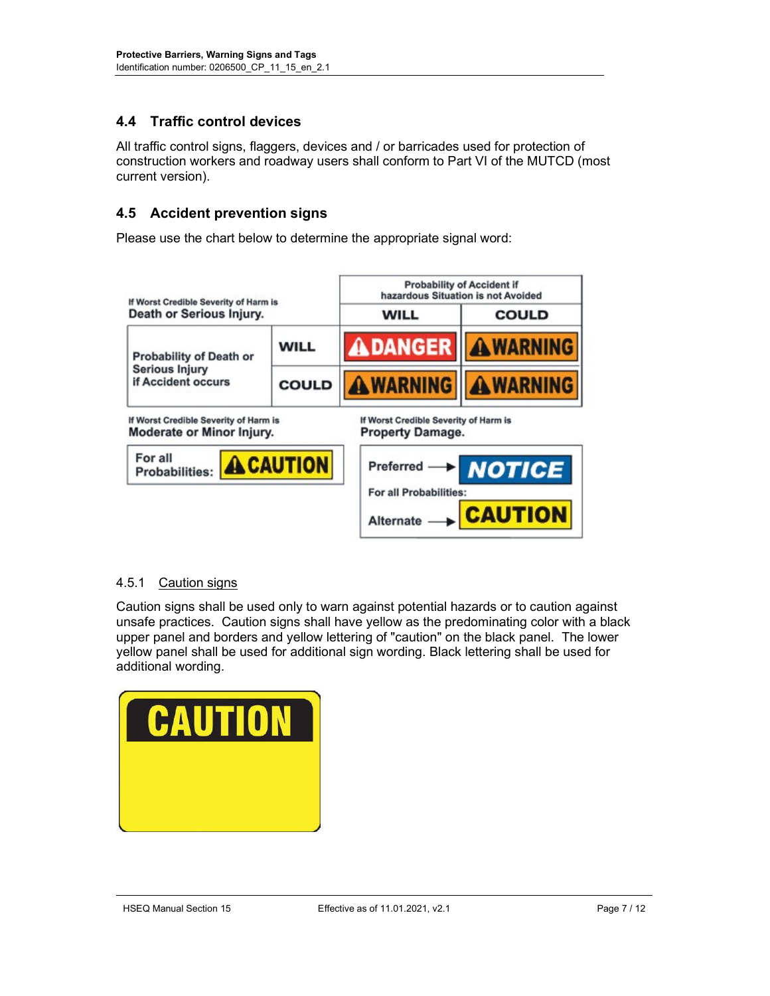## 4.4 Traffic control devices

All traffic control signs, flaggers, devices and / or barricades used for protection of construction workers and roadway users shall conform to Part VI of the MUTCD (most current version).

## 4.5 Accident prevention signs

Please use the chart below to determine the appropriate signal word:



#### 4.5.1 Caution signs

Caution signs shall be used only to warn against potential hazards or to caution against unsafe practices. Caution signs shall have yellow as the predominating color with a black upper panel and borders and yellow lettering of "caution" on the black panel. The lower yellow panel shall be used for additional sign wording. Black lettering shall be used for additional wording.

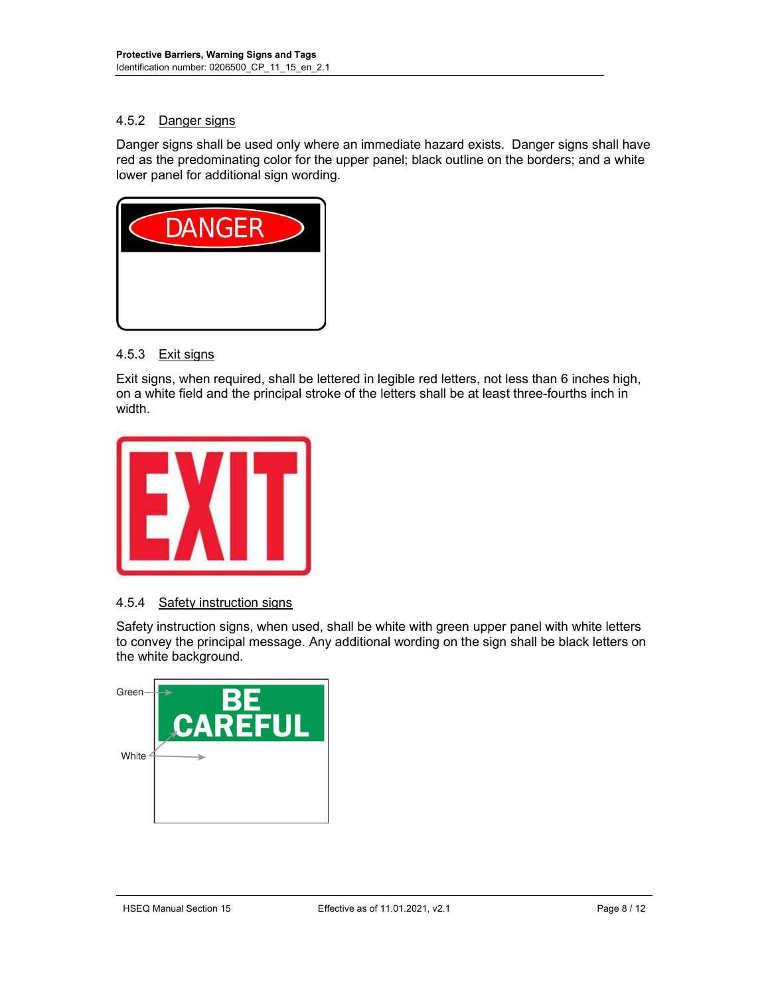## 4.5.2 Danger signs

Danger signs shall be used only where an immediate hazard exists. Danger signs shall have red as the predominating color for the upper panel; black outline on the borders; and a white lower panel for additional sign wording.



#### 4.5.3 Exit signs

Exit signs, when required, shall be lettered in legible red letters, not less than 6 inches high, on a white field and the principal stroke of the letters shall be at least three-fourths inch in width.



#### 4.5.4 Safety instruction signs

Safety instruction signs, when used, shall be white with green upper panel with white letters to convey the principal message. Any additional wording on the sign shall be black letters on the white background.

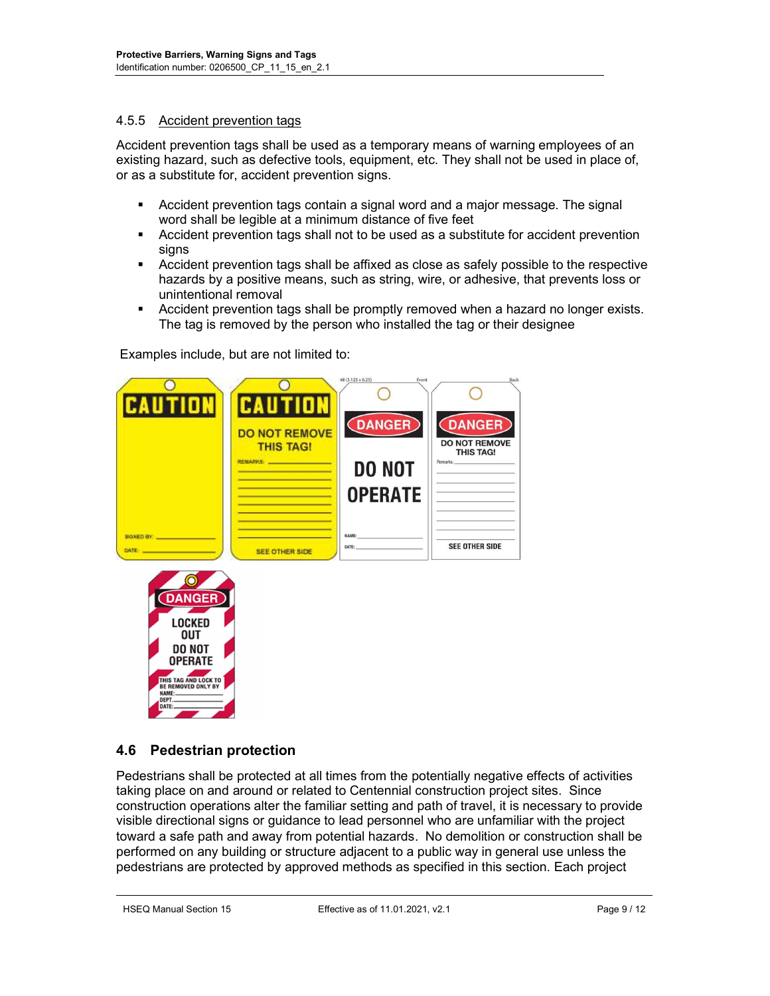#### 4.5.5 Accident prevention tags

Accident prevention tags shall be used as a temporary means of warning employees of an existing hazard, such as defective tools, equipment, etc. They shall not be used in place of, or as a substitute for, accident prevention signs.

- Accident prevention tags contain a signal word and a major message. The signal word shall be legible at a minimum distance of five feet
- Accident prevention tags shall not to be used as a substitute for accident prevention signs
- Accident prevention tags shall be affixed as close as safely possible to the respective hazards by a positive means, such as string, wire, or adhesive, that prevents loss or unintentional removal
- Accident prevention tags shall be promptly removed when a hazard no longer exists. The tag is removed by the person who installed the tag or their designee

Examples include, but are not limited to:





## 4.6 Pedestrian protection

Pedestrians shall be protected at all times from the potentially negative effects of activities taking place on and around or related to Centennial construction project sites. Since construction operations alter the familiar setting and path of travel, it is necessary to provide visible directional signs or guidance to lead personnel who are unfamiliar with the project toward a safe path and away from potential hazards. No demolition or construction shall be performed on any building or structure adjacent to a public way in general use unless the pedestrians are protected by approved methods as specified in this section. Each project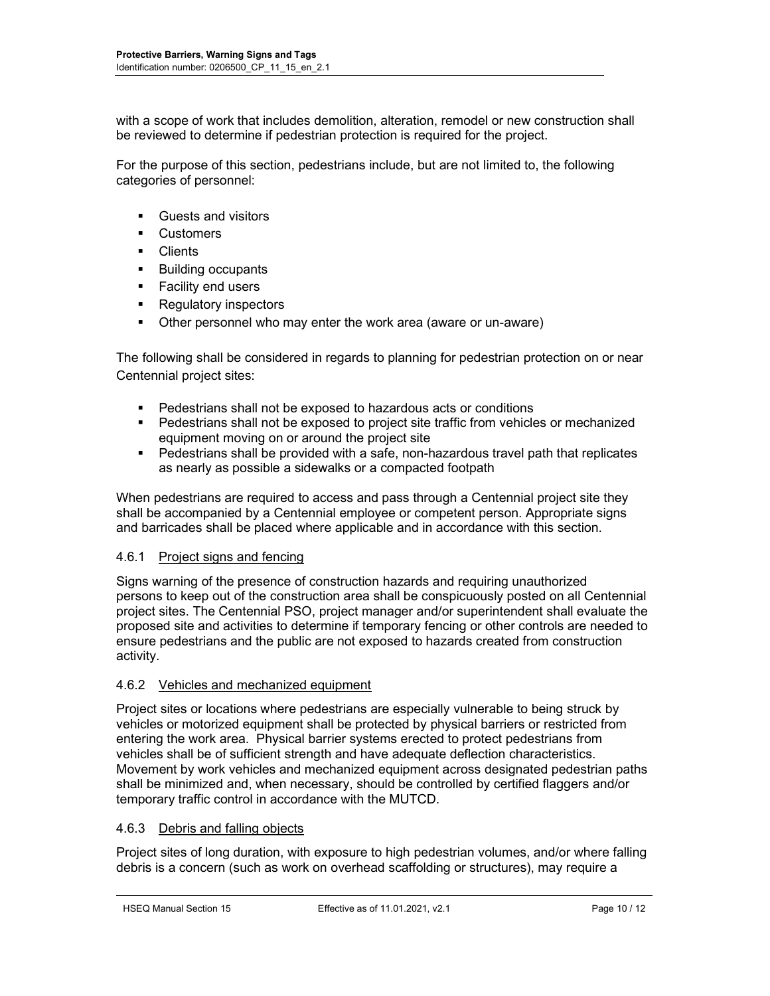with a scope of work that includes demolition, alteration, remodel or new construction shall be reviewed to determine if pedestrian protection is required for the project.

For the purpose of this section, pedestrians include, but are not limited to, the following categories of personnel:

- Guests and visitors
- **Customers**
- **Clients**
- **Building occupants**
- **Facility end users**
- Regulatory inspectors
- Other personnel who may enter the work area (aware or un-aware)

The following shall be considered in regards to planning for pedestrian protection on or near Centennial project sites:

- Pedestrians shall not be exposed to hazardous acts or conditions
- Pedestrians shall not be exposed to project site traffic from vehicles or mechanized equipment moving on or around the project site
- Pedestrians shall be provided with a safe, non-hazardous travel path that replicates as nearly as possible a sidewalks or a compacted footpath

When pedestrians are required to access and pass through a Centennial project site they shall be accompanied by a Centennial employee or competent person. Appropriate signs and barricades shall be placed where applicable and in accordance with this section.

#### 4.6.1 Project signs and fencing

Signs warning of the presence of construction hazards and requiring unauthorized persons to keep out of the construction area shall be conspicuously posted on all Centennial project sites. The Centennial PSO, project manager and/or superintendent shall evaluate the proposed site and activities to determine if temporary fencing or other controls are needed to ensure pedestrians and the public are not exposed to hazards created from construction activity.

#### 4.6.2 Vehicles and mechanized equipment

Project sites or locations where pedestrians are especially vulnerable to being struck by vehicles or motorized equipment shall be protected by physical barriers or restricted from entering the work area. Physical barrier systems erected to protect pedestrians from vehicles shall be of sufficient strength and have adequate deflection characteristics. Movement by work vehicles and mechanized equipment across designated pedestrian paths shall be minimized and, when necessary, should be controlled by certified flaggers and/or temporary traffic control in accordance with the MUTCD.

#### 4.6.3 Debris and falling objects

Project sites of long duration, with exposure to high pedestrian volumes, and/or where falling debris is a concern (such as work on overhead scaffolding or structures), may require a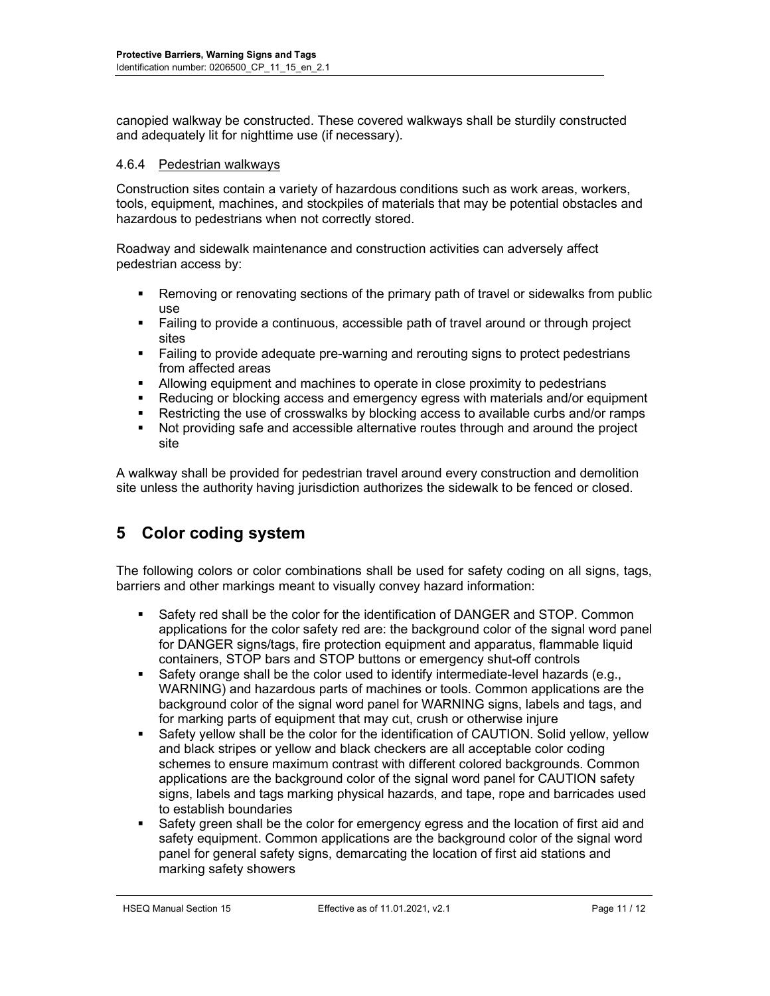canopied walkway be constructed. These covered walkways shall be sturdily constructed and adequately lit for nighttime use (if necessary).

#### 4.6.4 Pedestrian walkways

Construction sites contain a variety of hazardous conditions such as work areas, workers, tools, equipment, machines, and stockpiles of materials that may be potential obstacles and hazardous to pedestrians when not correctly stored.

Roadway and sidewalk maintenance and construction activities can adversely affect pedestrian access by:

- Removing or renovating sections of the primary path of travel or sidewalks from public use
- Failing to provide a continuous, accessible path of travel around or through project sites
- **Failing to provide adequate pre-warning and rerouting signs to protect pedestrians** from affected areas
- Allowing equipment and machines to operate in close proximity to pedestrians
- Reducing or blocking access and emergency egress with materials and/or equipment
- Restricting the use of crosswalks by blocking access to available curbs and/or ramps
- Not providing safe and accessible alternative routes through and around the project site

A walkway shall be provided for pedestrian travel around every construction and demolition site unless the authority having jurisdiction authorizes the sidewalk to be fenced or closed.

# 5 Color coding system

The following colors or color combinations shall be used for safety coding on all signs, tags, barriers and other markings meant to visually convey hazard information:

- Safety red shall be the color for the identification of DANGER and STOP. Common applications for the color safety red are: the background color of the signal word panel for DANGER signs/tags, fire protection equipment and apparatus, flammable liquid containers, STOP bars and STOP buttons or emergency shut-off controls
- Safety orange shall be the color used to identify intermediate-level hazards (e.g., WARNING) and hazardous parts of machines or tools. Common applications are the background color of the signal word panel for WARNING signs, labels and tags, and for marking parts of equipment that may cut, crush or otherwise injure
- Safety yellow shall be the color for the identification of CAUTION. Solid yellow, yellow and black stripes or yellow and black checkers are all acceptable color coding schemes to ensure maximum contrast with different colored backgrounds. Common applications are the background color of the signal word panel for CAUTION safety signs, labels and tags marking physical hazards, and tape, rope and barricades used to establish boundaries
- Safety green shall be the color for emergency egress and the location of first aid and safety equipment. Common applications are the background color of the signal word panel for general safety signs, demarcating the location of first aid stations and marking safety showers